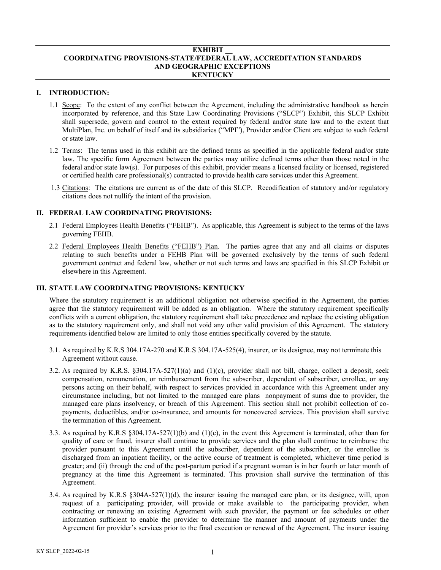#### **EXHIBIT \_\_ COORDINATING PROVISIONS-STATE/FEDERAL LAW, ACCREDITATION STANDARDS AND GEOGRAPHIC EXCEPTIONS KENTUCKY**

# **I. INTRODUCTION:**

- 1.1 Scope: To the extent of any conflict between the Agreement, including the administrative handbook as herein incorporated by reference, and this State Law Coordinating Provisions ("SLCP") Exhibit, this SLCP Exhibit shall supersede, govern and control to the extent required by federal and/or state law and to the extent that MultiPlan, Inc. on behalf of itself and its subsidiaries ("MPI"), Provider and/or Client are subject to such federal or state law.
- 1.2 Terms: The terms used in this exhibit are the defined terms as specified in the applicable federal and/or state law. The specific form Agreement between the parties may utilize defined terms other than those noted in the federal and/or state law(s). For purposes of this exhibit, provider means a licensed facility or licensed, registered or certified health care professional(s) contracted to provide health care services under this Agreement.
- 1.3 Citations: The citations are current as of the date of this SLCP. Recodification of statutory and/or regulatory citations does not nullify the intent of the provision.

## **II. FEDERAL LAW COORDINATING PROVISIONS:**

- 2.1 Federal Employees Health Benefits ("FEHB"). As applicable, this Agreement is subject to the terms of the laws governing FEHB.
- 2.2 Federal Employees Health Benefits ("FEHB") Plan. The parties agree that any and all claims or disputes relating to such benefits under a FEHB Plan will be governed exclusively by the terms of such federal government contract and federal law, whether or not such terms and laws are specified in this SLCP Exhibit or elsewhere in this Agreement.

## **III. STATE LAW COORDINATING PROVISIONS: KENTUCKY**

Where the statutory requirement is an additional obligation not otherwise specified in the Agreement, the parties agree that the statutory requirement will be added as an obligation. Where the statutory requirement specifically conflicts with a current obligation, the statutory requirement shall take precedence and replace the existing obligation as to the statutory requirement only, and shall not void any other valid provision of this Agreement. The statutory requirements identified below are limited to only those entities specifically covered by the statute.

- 3.1. As required by K.R.S 304.17A-270 and K.R.S 304.17A-525(4), insurer, or its designee, may not terminate this Agreement without cause.
- 3.2. As required by K.R.S. §304.17A-527(1)(a) and (1)(c), provider shall not bill, charge, collect a deposit, seek compensation, remuneration, or reimbursement from the subscriber, dependent of subscriber, enrollee, or any persons acting on their behalf, with respect to services provided in accordance with this Agreement under any circumstance including, but not limited to the managed care plans nonpayment of sums due to provider, the managed care plans insolvency, or breach of this Agreement. This section shall not prohibit collection of copayments, deductibles, and/or co-insurance, and amounts for noncovered services. This provision shall survive the termination of this Agreement.
- 3.3. As required by K.R.S §304.17A-527(1)(b) and (1)(c), in the event this Agreement is terminated, other than for quality of care or fraud, insurer shall continue to provide services and the plan shall continue to reimburse the provider pursuant to this Agreement until the subscriber, dependent of the subscriber, or the enrollee is discharged from an inpatient facility, or the active course of treatment is completed, whichever time period is greater; and (ii) through the end of the post-partum period if a pregnant woman is in her fourth or later month of pregnancy at the time this Agreement is terminated. This provision shall survive the termination of this Agreement.
- 3.4. As required by K.R.S §304A-527(1)(d), the insurer issuing the managed care plan, or its designee, will, upon request of a participating provider, will provide or make available to the participating provider, when contracting or renewing an existing Agreement with such provider, the payment or fee schedules or other information sufficient to enable the provider to determine the manner and amount of payments under the Agreement for provider's services prior to the final execution or renewal of the Agreement. The insurer issuing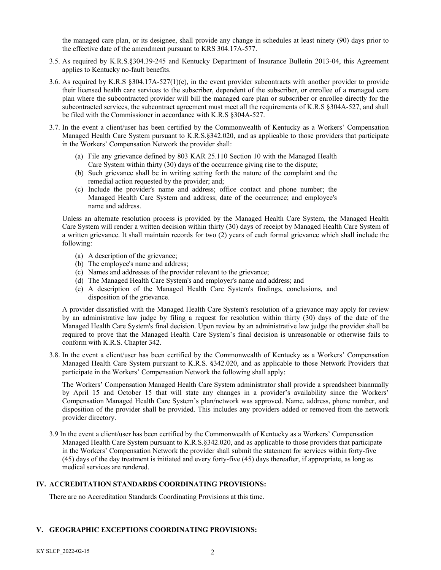the managed care plan, or its designee, shall provide any change in schedules at least ninety (90) days prior to the effective date of the amendment pursuant to KRS 304.17A-577.

- 3.5. As required by K.R.S.§304.39-245 and Kentucky Department of Insurance Bulletin 2013-04, this Agreement applies to Kentucky no-fault benefits.
- 3.6. As required by K.R.S §304.17A-527(1)(e), in the event provider subcontracts with another provider to provide their licensed health care services to the subscriber, dependent of the subscriber, or enrollee of a managed care plan where the subcontracted provider will bill the managed care plan or subscriber or enrollee directly for the subcontracted services, the subcontract agreement must meet all the requirements of K.R.S §304A-527, and shall be filed with the Commissioner in accordance with K.R.S §304A-527.
- 3.7. In the event a client/user has been certified by the Commonwealth of Kentucky as a Workers' Compensation Managed Health Care System pursuant to K.R.S.§342.020, and as applicable to those providers that participate in the Workers' Compensation Network the provider shall:
	- (a) File any grievance defined by 803 KAR 25.110 Section 10 with the Managed Health Care System within thirty (30) days of the occurrence giving rise to the dispute;
	- (b) Such grievance shall be in writing setting forth the nature of the complaint and the remedial action requested by the provider; and;
	- (c) Include the provider's name and address; office contact and phone number; the Managed Health Care System and address; date of the occurrence; and employee's name and address.

Unless an alternate resolution process is provided by the Managed Health Care System, the Managed Health Care System will render a written decision within thirty (30) days of receipt by Managed Health Care System of a written grievance. It shall maintain records for two (2) years of each formal grievance which shall include the following:

- (a) A description of the grievance;
- (b) The employee's name and address;
- (c) Names and addresses of the provider relevant to the grievance;
- (d) The Managed Health Care System's and employer's name and address; and
- (e) A description of the Managed Health Care System's findings, conclusions, and disposition of the grievance.

A provider dissatisfied with the Managed Health Care System's resolution of a grievance may apply for review by an administrative law judge by filing a request for resolution within thirty (30) days of the date of the Managed Health Care System's final decision. Upon review by an administrative law judge the provider shall be required to prove that the Managed Health Care System's final decision is unreasonable or otherwise fails to conform with K.R.S. Chapter 342.

3.8. In the event a client/user has been certified by the Commonwealth of Kentucky as a Workers' Compensation Managed Health Care System pursuant to K.R.S. §342.020, and as applicable to those Network Providers that participate in the Workers' Compensation Network the following shall apply:

The Workers' Compensation Managed Health Care System administrator shall provide a spreadsheet biannually by April 15 and October 15 that will state any changes in a provider's availability since the Workers' Compensation Managed Health Care System's plan/network was approved. Name, address, phone number, and disposition of the provider shall be provided. This includes any providers added or removed from the network provider directory.

3.9 In the event a client/user has been certified by the Commonwealth of Kentucky as a Workers' Compensation Managed Health Care System pursuant to K.R.S.§342.020, and as applicable to those providers that participate in the Workers' Compensation Network the provider shall submit the statement for services within forty-five (45) days of the day treatment is initiated and every forty-five (45) days thereafter, if appropriate, as long as medical services are rendered.

## **IV. ACCREDITATION STANDARDS COORDINATING PROVISIONS:**

There are no Accreditation Standards Coordinating Provisions at this time.

#### **V. GEOGRAPHIC EXCEPTIONS COORDINATING PROVISIONS:**